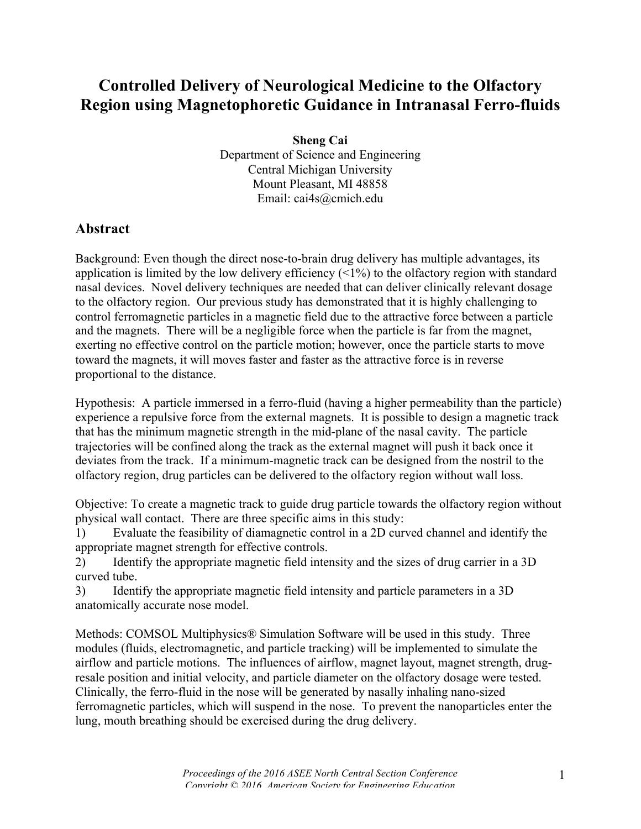## **Controlled Delivery of Neurological Medicine to the Olfactory Region using Magnetophoretic Guidance in Intranasal Ferro-fluids**

**Sheng Cai** Department of Science and Engineering Central Michigan University Mount Pleasant, MI 48858 Email: cai4s@cmich.edu

## **Abstract**

Background: Even though the direct nose-to-brain drug delivery has multiple advantages, its application is limited by the low delivery efficiency  $(1\%)$  to the olfactory region with standard nasal devices. Novel delivery techniques are needed that can deliver clinically relevant dosage to the olfactory region. Our previous study has demonstrated that it is highly challenging to control ferromagnetic particles in a magnetic field due to the attractive force between a particle and the magnets. There will be a negligible force when the particle is far from the magnet, exerting no effective control on the particle motion; however, once the particle starts to move toward the magnets, it will moves faster and faster as the attractive force is in reverse proportional to the distance.

Hypothesis: A particle immersed in a ferro-fluid (having a higher permeability than the particle) experience a repulsive force from the external magnets. It is possible to design a magnetic track that has the minimum magnetic strength in the mid-plane of the nasal cavity. The particle trajectories will be confined along the track as the external magnet will push it back once it deviates from the track. If a minimum-magnetic track can be designed from the nostril to the olfactory region, drug particles can be delivered to the olfactory region without wall loss.

Objective: To create a magnetic track to guide drug particle towards the olfactory region without physical wall contact. There are three specific aims in this study:

1) Evaluate the feasibility of diamagnetic control in a 2D curved channel and identify the appropriate magnet strength for effective controls.

2) Identify the appropriate magnetic field intensity and the sizes of drug carrier in a 3D curved tube.

3) Identify the appropriate magnetic field intensity and particle parameters in a 3D anatomically accurate nose model.

Methods: COMSOL Multiphysics® Simulation Software will be used in this study. Three modules (fluids, electromagnetic, and particle tracking) will be implemented to simulate the airflow and particle motions. The influences of airflow, magnet layout, magnet strength, drugresale position and initial velocity, and particle diameter on the olfactory dosage were tested. Clinically, the ferro-fluid in the nose will be generated by nasally inhaling nano-sized ferromagnetic particles, which will suspend in the nose. To prevent the nanoparticles enter the lung, mouth breathing should be exercised during the drug delivery.